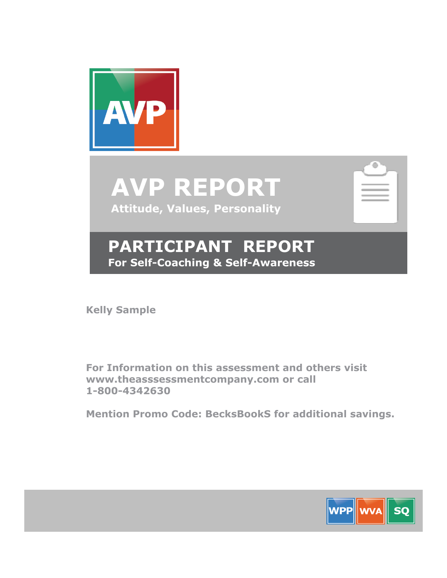

**AVP REPORT Attitude, Values, Personality**

| <b>COLLE</b> |  |  |
|--------------|--|--|

# **PARTICIPANT REPORT For Self-Coaching & Self-Awareness**

**Kelly Sample**

**For Information on this assessment and others visit www.theasssessmentcompany.com or call 1-800-4342630**

**Mention Promo Code: BecksBookS for additional savings.**

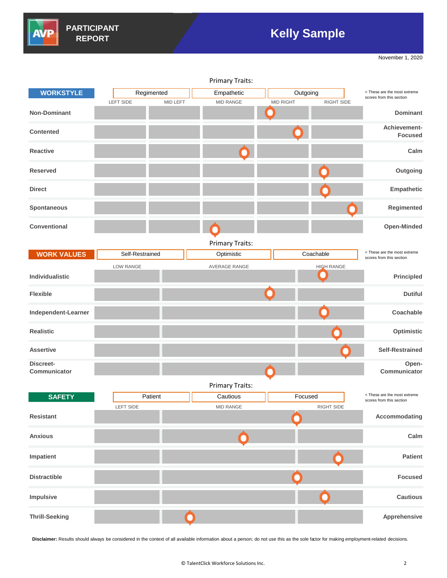

# **Kelly Sample**

November 1, 2020

| <b>Primary Traits:</b>    |                 |            |  |                        |                  |          |                   |                                                          |
|---------------------------|-----------------|------------|--|------------------------|------------------|----------|-------------------|----------------------------------------------------------|
| <b>WORKSTYLE</b>          |                 | Regimented |  | Empathetic             |                  | Outgoing |                   | < These are the most extreme<br>scores from this section |
|                           | LEFT SIDE       | MID LEFT   |  | MID RANGE              | <b>MID RIGHT</b> |          | RIGHT SIDE        |                                                          |
| <b>Non-Dominant</b>       |                 |            |  |                        |                  |          |                   | <b>Dominant</b>                                          |
|                           |                 |            |  |                        |                  |          |                   | Achievement-                                             |
| <b>Contented</b>          |                 |            |  |                        |                  |          |                   | <b>Focused</b>                                           |
|                           |                 |            |  |                        |                  |          |                   |                                                          |
| <b>Reactive</b>           |                 |            |  |                        |                  |          |                   | Calm                                                     |
| <b>Reserved</b>           |                 |            |  |                        |                  |          |                   | Outgoing                                                 |
|                           |                 |            |  |                        |                  |          |                   |                                                          |
| <b>Direct</b>             |                 |            |  |                        |                  |          |                   | Empathetic                                               |
|                           |                 |            |  |                        |                  |          |                   |                                                          |
| Spontaneous               |                 |            |  |                        |                  |          |                   | Regimented                                               |
|                           |                 |            |  |                        |                  |          |                   |                                                          |
| <b>Conventional</b>       |                 |            |  |                        |                  |          |                   | Open-Minded                                              |
|                           |                 |            |  |                        |                  |          |                   |                                                          |
|                           |                 |            |  | <b>Primary Traits:</b> |                  |          |                   |                                                          |
| <b>WORK VALUES</b>        | Self-Restrained |            |  | Optimistic             |                  |          | Coachable         | < These are the most extreme<br>scores from this section |
|                           | LOW RANGE       |            |  | <b>AVERAGE RANGE</b>   |                  |          | <b>HIGH RANGE</b> |                                                          |
| Individualistic           |                 |            |  |                        |                  |          |                   | Principled                                               |
|                           |                 |            |  |                        |                  |          |                   |                                                          |
| <b>Flexible</b>           |                 |            |  |                        |                  |          |                   | <b>Dutiful</b>                                           |
| Independent-Learner       |                 |            |  |                        |                  |          |                   | Coachable                                                |
|                           |                 |            |  |                        |                  |          |                   |                                                          |
| <b>Realistic</b>          |                 |            |  |                        |                  |          |                   | Optimistic                                               |
|                           |                 |            |  |                        |                  |          |                   |                                                          |
| <b>Assertive</b>          |                 |            |  |                        |                  |          |                   | <b>Self-Restrained</b>                                   |
|                           |                 |            |  |                        |                  |          |                   |                                                          |
| Discreet-<br>Communicator |                 |            |  |                        |                  |          |                   | Open-<br>Communicator                                    |
|                           |                 |            |  |                        |                  |          |                   |                                                          |
|                           |                 |            |  | <b>Primary Traits:</b> |                  |          |                   |                                                          |
| <b>SAFETY</b>             |                 | Patient    |  | Cautious               |                  | Focused  |                   | < These are the most extreme<br>scores from this section |
|                           | LEFT SIDE       |            |  | MID RANGE              |                  |          | RIGHT SIDE        |                                                          |
| <b>Resistant</b>          |                 |            |  |                        |                  |          |                   | Accommodating                                            |
|                           |                 |            |  |                        |                  |          |                   |                                                          |
| <b>Anxious</b>            |                 |            |  |                        |                  |          |                   | Calm                                                     |
|                           |                 |            |  |                        |                  |          |                   |                                                          |
| Impatient                 |                 |            |  |                        |                  |          |                   | <b>Patient</b>                                           |
|                           |                 |            |  |                        |                  |          |                   |                                                          |
| <b>Distractible</b>       |                 |            |  |                        |                  |          |                   | <b>Focused</b>                                           |
|                           |                 |            |  |                        |                  |          |                   |                                                          |
| Impulsive                 |                 |            |  |                        |                  |          |                   | <b>Cautious</b>                                          |
|                           |                 |            |  |                        |                  |          |                   |                                                          |
| <b>Thrill-Seeking</b>     |                 |            |  |                        |                  |          |                   | Apprehensive                                             |

**Disclaimer:** Results should always be considered in the context of all available information about a person; do not use this as the sole factor for making employment-related decisions.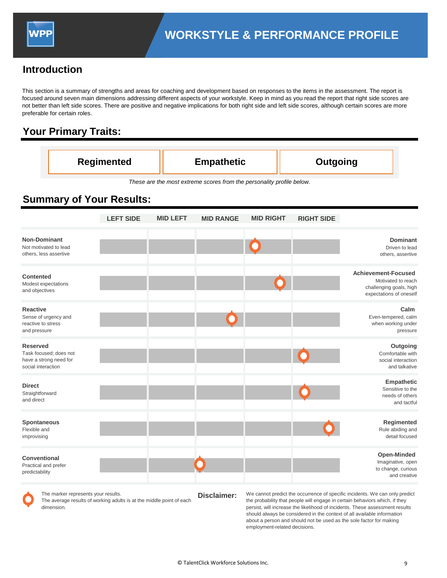

## **Introduction**

This section is a summary of strengths and areas for coaching and development based on responses to the items in the assessment. The report is focused around seven main dimensions addressing different aspects of your workstyle. Keep in mind as you read the report that right side scores are not better than left side scores. There are positive and negative implications for both right side and left side scores, although certain scores are more preferable for certain roles.

## **Your Primary Traits:**

| <b>Regimented</b> | <b>Empathetic</b> | Outgoing |
|-------------------|-------------------|----------|
|-------------------|-------------------|----------|

*These are the most extreme scores from the personality profile below.*

## **Summary of Your Results:**

|                                                                                           | <b>LEFT SIDE</b> | <b>MID LEFT</b> | <b>MID RANGE</b> | <b>MID RIGHT</b> | <b>RIGHT SIDE</b> |                                                                                                        |
|-------------------------------------------------------------------------------------------|------------------|-----------------|------------------|------------------|-------------------|--------------------------------------------------------------------------------------------------------|
| <b>Non-Dominant</b><br>Not motivated to lead<br>others, less assertive                    |                  |                 |                  |                  |                   | <b>Dominant</b><br>Driven to lead<br>others, assertive                                                 |
| <b>Contented</b><br>Modest expectations<br>and objectives                                 |                  |                 |                  |                  |                   | <b>Achievement-Focused</b><br>Motivated to reach<br>challenging goals, high<br>expectations of oneself |
| <b>Reactive</b><br>Sense of urgency and<br>reactive to stress<br>and pressure             |                  |                 |                  |                  |                   | Calm<br>Even-tempered, calm<br>when working under<br>pressure                                          |
| <b>Reserved</b><br>Task focused; does not<br>have a strong need for<br>social interaction |                  |                 |                  |                  |                   | Outgoing<br>Comfortable with<br>social interaction<br>and talkative                                    |
| <b>Direct</b><br>Straightforward<br>and direct                                            |                  |                 |                  |                  |                   | Empathetic<br>Sensitive to the<br>needs of others<br>and tactful                                       |
| <b>Spontaneous</b><br>Flexible and<br>improvising                                         |                  |                 |                  |                  |                   | Regimented<br>Rule abiding and<br>detail focused                                                       |
| <b>Conventional</b><br>Practical and prefer<br>predictability                             |                  |                 |                  |                  |                   | <b>Open-Minded</b><br>Imaginative, open<br>to change, curious<br>and creative                          |



**Disclaimer:** The marker represents your results. The average results of working adults is at the middle point of each dimension.

We cannot predict the occurrence of specific incidents. We can only predict the probability that people will engage in certain behaviors which, if they persist, will increase the likelihood of incidents. These assessment results should always be considered in the context of all available information about a person and should not be used as the sole factor for making employment-related decisions.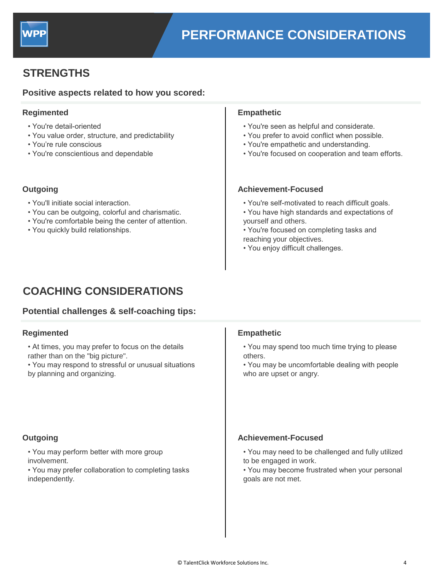

## **STRENGTHS**

### **Positive aspects related to how you scored:**

#### **Regimented Empathetic**

- You're detail-oriented
- You value order, structure, and predictability
- You're rule conscious
- You're conscientious and dependable

- You'll initiate social interaction.
- You can be outgoing, colorful and charismatic.
- You're comfortable being the center of attention.
- You quickly build relationships.

- You're seen as helpful and considerate.
- You prefer to avoid conflict when possible.
- You're empathetic and understanding.
- You're focused on cooperation and team efforts.

#### **Outgoing Achievement-Focused**

- You're self-motivated to reach difficult goals.
- You have high standards and expectations of yourself and others.
- You're focused on completing tasks and reaching your objectives.
- You enjoy difficult challenges.

# **COACHING CONSIDERATIONS**

### **Potential challenges & self-coaching tips:**

# **E Regimented Empathetic**

- At times, you may prefer to focus on the details rather than on the "big picture".
- You may respond to stressful or unusual situations by planning and organizing.

- You may perform better with more group involvement.
- You may prefer collaboration to completing tasks independently.

- You may spend too much time trying to please others.
- You may be uncomfortable dealing with people who are upset or angry.

### **Outgoing Achievement-Focused**

- You may need to be challenged and fully utilized to be engaged in work.
- You may become frustrated when your personal goals are not met.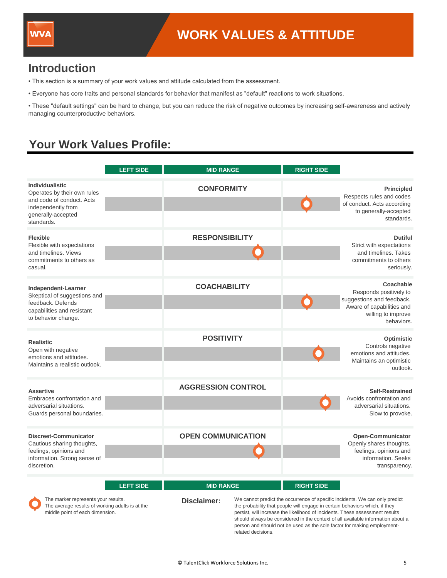

## **Introduction**

- This section is a summary of your work values and attitude calculated from the assessment.
- Everyone has core traits and personal standards for behavior that manifest as "default" reactions to work situations.

• These "default settings" can be hard to change, but you can reduce the risk of negative outcomes by increasing self-awareness and actively managing counterproductive behaviors.

# **Your Work Values Profile:**

middle point of each dimension.

|                                                                                                                                              | <b>LEFT SIDE</b> | <b>MID RANGE</b>                       | <b>RIGHT SIDE</b>                                                                                |                                                                                                                                   |
|----------------------------------------------------------------------------------------------------------------------------------------------|------------------|----------------------------------------|--------------------------------------------------------------------------------------------------|-----------------------------------------------------------------------------------------------------------------------------------|
| <b>Individualistic</b><br>Operates by their own rules<br>and code of conduct. Acts<br>independently from<br>generally-accepted<br>standards. |                  | <b>CONFORMITY</b>                      |                                                                                                  | <b>Principled</b><br>Respects rules and codes<br>of conduct. Acts according<br>to generally-accepted<br>standards.                |
| <b>Flexible</b><br>Flexible with expectations<br>and timelines. Views<br>commitments to others as<br>casual.                                 |                  | <b>RESPONSIBILITY</b>                  |                                                                                                  | <b>Dutiful</b><br>Strict with expectations<br>and timelines. Takes<br>commitments to others<br>seriously.                         |
| Independent-Learner<br>Skeptical of suggestions and<br>feedback. Defends<br>capabilities and resistant<br>to behavior change.                |                  | <b>COACHABILITY</b>                    |                                                                                                  | Coachable<br>Responds positively to<br>suggestions and feedback.<br>Aware of capabilities and<br>willing to improve<br>behaviors. |
| <b>Realistic</b><br>Open with negative<br>emotions and attitudes.<br>Maintains a realistic outlook.                                          |                  | <b>POSITIVITY</b>                      |                                                                                                  | Optimistic<br>Controls negative<br>emotions and attitudes.<br>Maintains an optimistic<br>outlook.                                 |
| <b>Assertive</b><br>Embraces confrontation and<br>adversarial situations.<br>Guards personal boundaries.                                     |                  | <b>AGGRESSION CONTROL</b>              |                                                                                                  | <b>Self-Restrained</b><br>Avoids confrontation and<br>adversarial situations.<br>Slow to provoke.                                 |
| <b>Discreet-Communicator</b><br>Cautious sharing thoughts,<br>feelings, opinions and<br>information. Strong sense of<br>discretion.          |                  | <b>OPEN COMMUNICATION</b>              |                                                                                                  | Open-Communicator<br>Openly shares thoughts,<br>feelings, opinions and<br>information. Seeks<br>transparency.                     |
| The marker represents your results.<br>The average results of working adults is at the                                                       | <b>LEFT SIDE</b> | <b>MID RANGE</b><br><b>Disclaimer:</b> | <b>RIGHT SIDE</b><br>the probability that people will engage in certain behaviors which, if they | We cannot predict the occurrence of specific incidents. We can only predict                                                       |

related decisions.

persist, will increase the likelihood of incidents. These assessment results should always be considered in the context of all available information about a person and should not be used as the sole factor for making employment-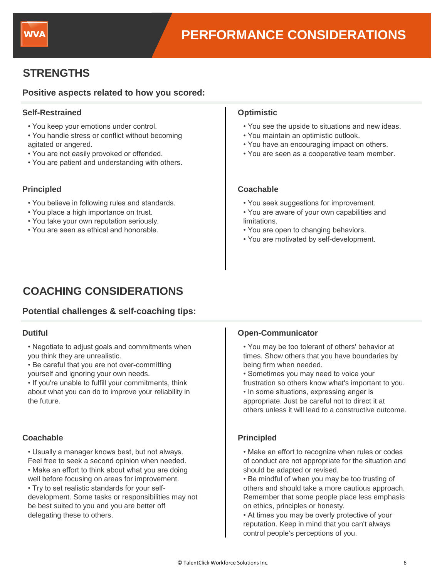

# **STRENGTHS**

### **Positive aspects related to how you scored:**

#### **Self-Restrained Optimistic**

- You keep your emotions under control.
- You handle stress or conflict without becoming agitated or angered.
- You are not easily provoked or offended.
- You are patient and understanding with others.

- You believe in following rules and standards.
- You place a high importance on trust.
- You take your own reputation seriously.
- You are seen as ethical and honorable.

- You see the upside to situations and new ideas.
- You maintain an optimistic outlook.
- You have an encouraging impact on others.
- You are seen as a cooperative team member.

#### **Principled Coachable**

- You seek suggestions for improvement.
- You are aware of your own capabilities and limitations.
- You are open to changing behaviors.
- You are motivated by self-development.

# **COACHING CONSIDERATIONS**

### **Potential challenges & self-coaching tips:**

### **Dutiful**

- Negotiate to adjust goals and commitments when you think they are unrealistic.
- Be careful that you are not over-committing yourself and ignoring your own needs.
- If you're unable to fulfill your commitments, think about what you can do to improve your reliability in the future.

### **Coachable Principled**

- Usually a manager knows best, but not always. Feel free to seek a second opinion when needed.
- Make an effort to think about what you are doing
- well before focusing on areas for improvement.
- Try to set realistic standards for your selfdevelopment. Some tasks or responsibilities may not be best suited to you and you are better off delegating these to others.

### **Open-Communicator**

- You may be too tolerant of others' behavior at times. Show others that you have boundaries by being firm when needed.
- Sometimes you may need to voice your frustration so others know what's important to you.
- In some situations, expressing anger is appropriate. Just be careful not to direct it at others unless it will lead to a constructive outcome.

- Make an effort to recognize when rules or codes of conduct are not appropriate for the situation and should be adapted or revised.
- Be mindful of when you may be too trusting of others and should take a more cautious approach. Remember that some people place less emphasis on ethics, principles or honesty.
- At times you may be overly protective of your reputation. Keep in mind that you can't always control people's perceptions of you.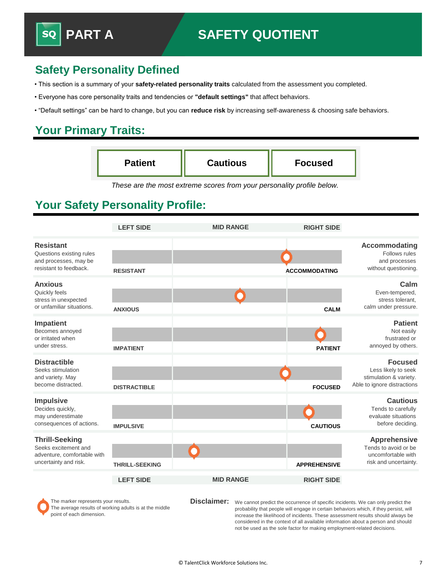# **Safety Personality Defined**

- This section is a summary of your **safety-related personality traits** calculated from the assessment you completed.
- Everyone has core personality traits and tendencies or **"default settings"** that affect behaviors.
- "Default settings" can be hard to change, but you can **reduce risk** by increasing self-awareness & choosing safe behaviors.

## **Your Primary Traits:**

| <b>Patient</b> | <b>Cautious</b> | <b>Focused</b> |
|----------------|-----------------|----------------|
|                |                 |                |

*These are the most extreme scores from your personality profile below.*

# **Your Safety Personality Profile:**

|                                                                                                       | <b>LEFT SIDE</b>      | <b>MID RANGE</b> | <b>RIGHT SIDE</b>    |                                                                                                |
|-------------------------------------------------------------------------------------------------------|-----------------------|------------------|----------------------|------------------------------------------------------------------------------------------------|
| <b>Resistant</b><br>Questions existing rules<br>and processes, may be<br>resistant to feedback.       | <b>RESISTANT</b>      |                  | <b>ACCOMMODATING</b> | <b>Accommodating</b><br>Follows rules<br>and processes<br>without questioning.                 |
| <b>Anxious</b><br>Quickly feels<br>stress in unexpected<br>or unfamiliar situations.                  | <b>ANXIOUS</b>        |                  | <b>CALM</b>          | Calm<br>Even-tempered,<br>stress tolerant.<br>calm under pressure.                             |
| Impatient<br>Becomes annoyed<br>or irritated when<br>under stress.                                    | <b>IMPATIENT</b>      |                  | <b>PATIENT</b>       | <b>Patient</b><br>Not easily<br>frustrated or<br>annoyed by others.                            |
| <b>Distractible</b><br>Seeks stimulation<br>and variety. May<br>become distracted.                    | <b>DISTRACTIBLE</b>   |                  | <b>FOCUSED</b>       | <b>Focused</b><br>Less likely to seek<br>stimulation & variety.<br>Able to ignore distractions |
| <b>Impulsive</b><br>Decides quickly,<br>may underestimate<br>consequences of actions.                 | <b>IMPULSIVE</b>      |                  | <b>CAUTIOUS</b>      | <b>Cautious</b><br>Tends to carefully<br>evaluate situations<br>before deciding.               |
| <b>Thrill-Seeking</b><br>Seeks excitement and<br>adventure, comfortable with<br>uncertainty and risk. | <b>THRILL-SEEKING</b> |                  | <b>APPREHENSIVE</b>  | <b>Apprehensive</b><br>Tends to avoid or be<br>uncomfortable with<br>risk and uncertainty.     |
|                                                                                                       | <b>LEFT SIDE</b>      | <b>MID RANGE</b> | <b>RIGHT SIDE</b>    |                                                                                                |
| The marker represents your results.                                                                   |                       | Disclaimer:      |                      | We cannot predict the occurrence of specific incidents. We can only predict the                |

The average results of working adults is at the middle point of each dimension.

probability that people will engage in certain behaviors which, if they persist, will increase the likelihood of incidents. These assessment results should always be considered in the context of all available information about a person and should not be used as the sole factor for making employment-related decisions.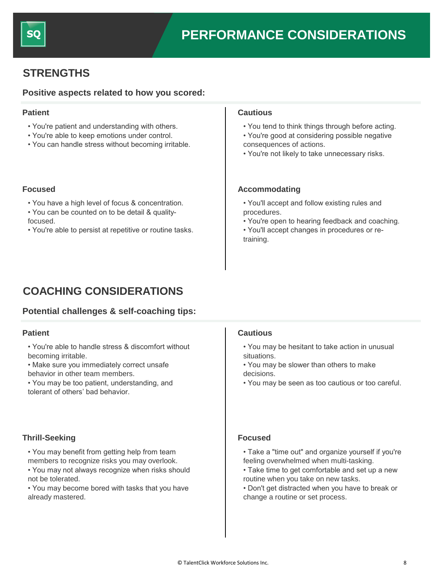

## **STRENGTHS**

### **Positive aspects related to how you scored:**

- You're patient and understanding with others.
- You're able to keep emotions under control.
- You can handle stress without becoming irritable.

- You have a high level of focus & concentration.
- You can be counted on to be detail & quality-
- focused.
- You're able to persist at repetitive or routine tasks.

#### **Patient Cautious**

- You tend to think things through before acting.
- You're good at considering possible negative consequences of actions.
- You're not likely to take unnecessary risks.

#### **Focused Accommodating Accommodating**

- You'll accept and follow existing rules and procedures.
- You're open to hearing feedback and coaching.
- You'll accept changes in procedures or retraining.

# **COACHING CONSIDERATIONS**

### **Potential challenges & self-coaching tips:**

#### **Patient**

- You're able to handle stress & discomfort without becoming irritable.
- Make sure you immediately correct unsafe behavior in other team members.
- You may be too patient, understanding, and tolerant of others' bad behavior.

### **Thrill-Seeking Focused**

- You may benefit from getting help from team members to recognize risks you may overlook.
- You may not always recognize when risks should not be tolerated.
- You may become bored with tasks that you have already mastered.

### **Cautious**

- You may be hesitant to take action in unusual situations.
- You may be slower than others to make decisions.
- You may be seen as too cautious or too careful.

- Take a "time out" and organize yourself if you're feeling overwhelmed when multi-tasking.
- Take time to get comfortable and set up a new routine when you take on new tasks.
- Don't get distracted when you have to break or change a routine or set process.